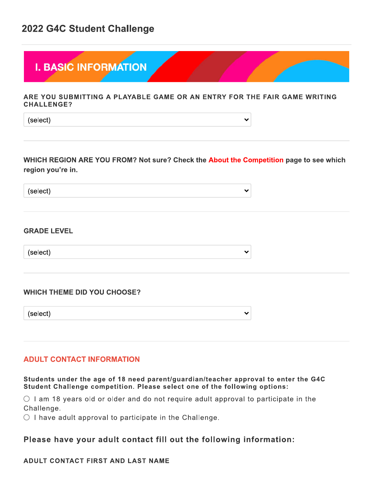## 2022 G4C Student Challenge



 $\checkmark$ 

 $\checkmark$ 

 $\checkmark$ 

 $\checkmark$ 

#### ARE YOU SUBMITTING A PLAYABLE GAME OR AN ENTRY FOR THE FAIR GAME WRITING **CHALLENGE?**

(select)

## WHICH REGION ARE YOU FROM? Not sure? Check the About the Competition page to see which region you're in.

(select)

#### **GRADE LEVEL**

(select)

#### **WHICH THEME DID YOU CHOOSE?**

(select)

#### **ADULT CONTACT INFORMATION**

#### Students under the age of 18 need parent/guardian/teacher approval to enter the G4C Student Challenge competition. Please select one of the following options:

 $\circ$  1 am 18 years old or older and do not require adult approval to participate in the Challenge.

 $\circlearrowright$  I have adult approval to participate in the Challenge.

## Please have your adult contact fill out the following information:

#### ADULT CONTACT FIRST AND LAST NAME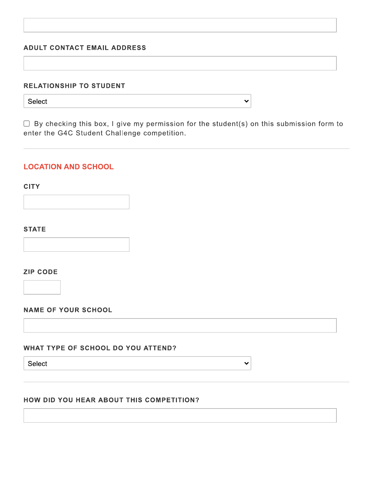#### **ADULT CONTACT EMAIL ADDRESS**

#### **RELATIONSHIP TO STUDENT**

Select

 $\Box$  By checking this box, I give my permission for the student(s) on this submission form to enter the G4C Student Challenge competition.

## **LOCATION AND SCHOOL**

#### **CITY**

**STATE** 

**ZIP CODE** 

#### **NAME OF YOUR SCHOOL**

#### WHAT TYPE OF SCHOOL DO YOU ATTEND?

Select

 $\checkmark$ 

 $\checkmark$ 

#### HOW DID YOU HEAR ABOUT THIS COMPETITION?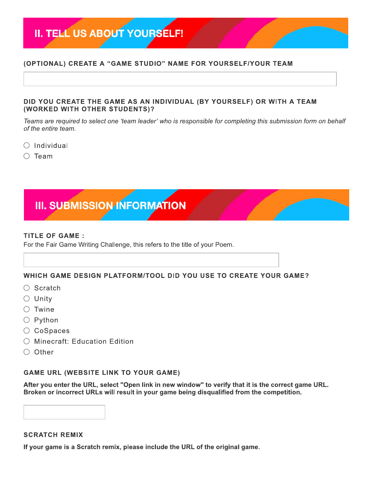# II. TELL US ABOUT YOURSELF!

### (OPTIONAL) CREATE A "GAME STUDIO" NAME FOR YOURSELF/YOUR TEAM

#### DID YOU CREATE THE GAME AS AN INDIVIDUAL (BY YOURSELF) OR WITH A TEAM (WORKED WITH OTHER STUDENTS)?

Teams are required to select one 'team leader' who is responsible for completing this submission form on behalf of the entire team.

- $\bigcirc$  Individual
- $\bigcirc$  Team



#### **TITLE OF GAME:**

For the Fair Game Writing Challenge, this refers to the title of your Poem.

#### WHICH GAME DESIGN PLATFORM/TOOL DID YOU USE TO CREATE YOUR GAME?

- $\bigcirc$  Scratch
- $\circ$  Unity
- $\circ$  Twine
- $\bigcirc$  Python
- $\circ$  CoSpaces
- Minecraft: Education Edition
- $\bigcirc$  Other

#### **GAME URL (WEBSITE LINK TO YOUR GAME)**

After you enter the URL, select "Open link in new window" to verify that it is the correct game URL. Broken or incorrect URLs will result in your game being disqualified from the competition.

## **SCRATCH REMIX**

If your game is a Scratch remix, please include the URL of the original game.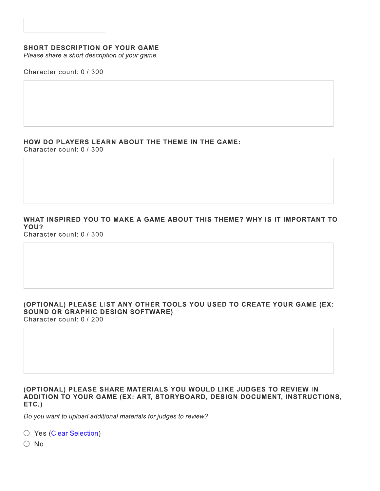#### **SHORT DESCRIPTION OF YOUR GAME**

Please share a short description of your game.

Character count: 0 / 300

## HOW DO PLAYERS LEARN ABOUT THE THEME IN THE GAME:

Character count: 0 / 300

#### WHAT INSPIRED YOU TO MAKE A GAME ABOUT THIS THEME? WHY IS IT IMPORTANT TO YOU? Character count: 0 / 300

#### (OPTIONAL) PLEASE LIST ANY OTHER TOOLS YOU USED TO CREATE YOUR GAME (EX: **SOUND OR GRAPHIC DESIGN SOFTWARE)** Character count: 0 / 200

#### (OPTIONAL) PLEASE SHARE MATERIALS YOU WOULD LIKE JUDGES TO REVIEW IN ADDITION TO YOUR GAME (EX: ART, STORYBOARD, DESIGN DOCUMENT, INSTRUCTIONS,  $ETC.$

Do you want to upload additional materials for judges to review?

○ Yes (Clear Selection)

 $\bigcirc$  No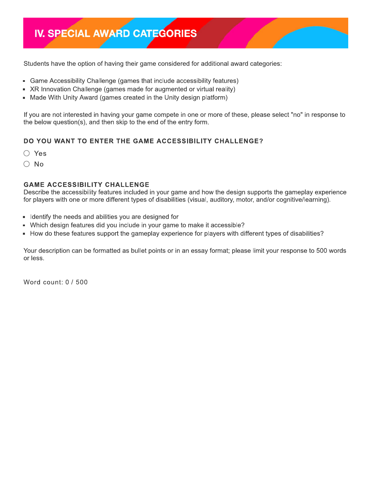## IV. SPECIAL AWARD CATEGORIES

Students have the option of having their game considered for additional award categories:

- Game Accessibility Challenge (games that include accessibility features)
- XR Innovation Challenge (games made for augmented or virtual reality)
- Made With Unity Award (games created in the Unity design platform)

If you are not interested in having your game compete in one or more of these, please select "no" in response to the below question(s), and then skip to the end of the entry form.

## DO YOU WANT TO ENTER THE GAME ACCESSIBILITY CHALLENGE?

- $\bigcirc$  Yes
- $\bigcirc$  No

### **GAME ACCESSIBILITY CHALLENGE**

Describe the accessibility features included in your game and how the design supports the gameplay experience for players with one or more different types of disabilities (visual, auditory, motor, and/or cognitive/learning).

- Identify the needs and abilities you are designed for
- Which design features did you include in your game to make it accessible?
- How do these features support the gameplay experience for players with different types of disabilities?

Your description can be formatted as bullet points or in an essay format; please limit your response to 500 words or less.

Word count: 0 / 500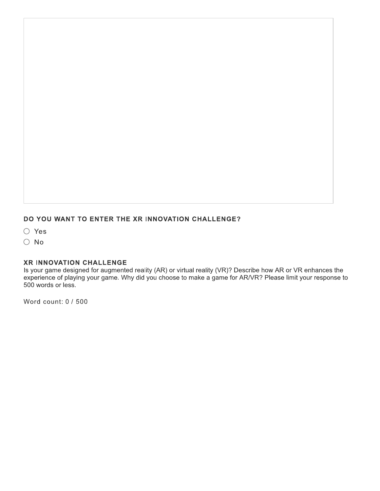## DO YOU WANT TO ENTER THE XR INNOVATION CHALLENGE?

 $\bigcirc$  Yes

 $\bigcirc$  No

#### XR INNOVATION CHALLENGE

Is your game designed for augmented reality (AR) or virtual reality (VR)? Describe how AR or VR enhances the experience of playing your game. Why did you choose to make a game for AR/VR? Please limit your response to 500 words or less.

Word count: 0 / 500